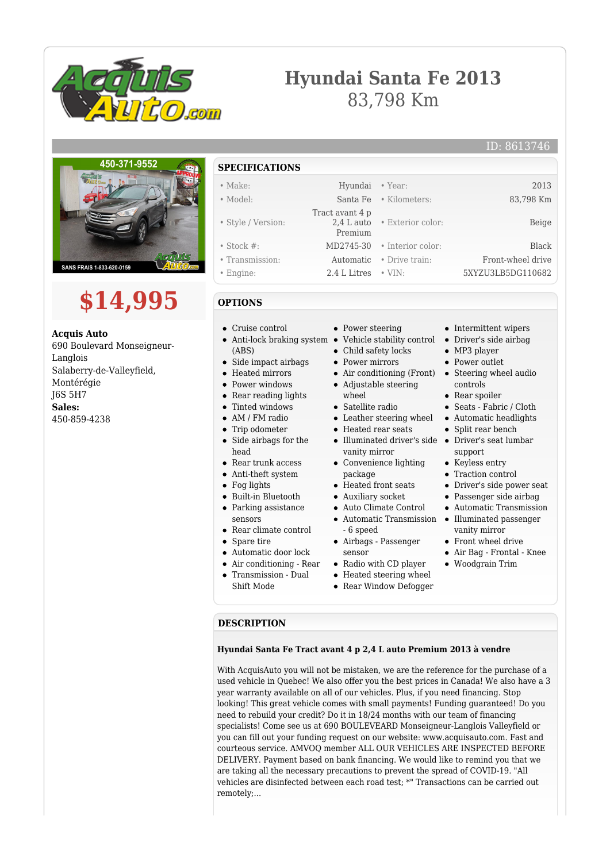

## **Hyundai Santa Fe 2013** 83,798 Km



# **\$14,995**

**Acquis Auto** 690 Boulevard Monseigneur-Langlois Salaberry-de-Valleyfield, Montérégie J6S 5H7 **Sales:** 450-859-4238

### **SPECIFICATIONS**

| $\bullet$ Make:    | Hyundai • Year: |                              | 2013              |
|--------------------|-----------------|------------------------------|-------------------|
| • Model:           |                 | Santa Fe • Kilometers:       | 83,798 Km         |
|                    | Tract avant 4 p |                              |                   |
| • Style / Version: |                 | 2.4 L auto • Exterior color: | Beige             |
|                    | Premium         |                              |                   |
| $\bullet$ Stock #: |                 | MD2745-30 • Interior color:  | Black             |
| • Transmission:    | Automatic       | • Drive train:               | Front-wheel drive |
| • Engine:          | 2.4 L Litres    | $\bullet$ VIN:               | 5XYZU3LB5DG110682 |

#### **OPTIONS**

- Anti-lock braking system  $\bullet$ (ABS)
- Side impact airbags
- 
- 
- 
- 
- 
- $\bullet$
- Side airbags for the head
- Rear trunk access
- Anti-theft system
- Fog lights
- 
- Parking assistance
- sensors
- Rear climate control
- Spare tire
- Automatic door lock
- Air conditioning Rear
- Transmission Dual Shift Mode
- Power steering
- Vehicle stability control
- Child safety locks  $\bullet$
- Power mirrors
- Air conditioning (Front) Steering wheel audio
- Adjustable steering  $\bullet$ wheel
- Satellite radio
- Leather steering wheel
- Heated rear seats
- Illuminated driver's side Driver's seat lumbar vanity mirror
- Convenience lighting package
- Heated front seats
- Auxiliary socket
- Auto Climate Control
- 
- 
- 
- Heated steering wheel
- Rear Window Defogger
- 
- Intermittent wipers
- Driver's side airbag
- MP3 player Power outlet
- 
- controls
- Rear spoiler
- Seats Fabric / Cloth
- Automatic headlights
- Split rear bench
- support
- Keyless entry
- Traction control
- Driver's side power seat
- Passenger side airbag
- Automatic Transmission
- vanity mirror
- Front wheel drive
- Air Bag Frontal Knee
- Woodgrain Trim

#### **DESCRIPTION**

#### **Hyundai Santa Fe Tract avant 4 p 2,4 L auto Premium 2013 à vendre**

With AcquisAuto you will not be mistaken, we are the reference for the purchase of a used vehicle in Quebec! We also offer you the best prices in Canada! We also have a 3 year warranty available on all of our vehicles. Plus, if you need financing. Stop looking! This great vehicle comes with small payments! Funding guaranteed! Do you need to rebuild your credit? Do it in 18/24 months with our team of financing specialists! Come see us at 690 BOULEVEARD Monseigneur-Langlois Valleyfield or you can fill out your funding request on our website: www.acquisauto.com. Fast and courteous service. AMVOQ member ALL OUR VEHICLES ARE INSPECTED BEFORE DELIVERY. Payment based on bank financing. We would like to remind you that we are taking all the necessary precautions to prevent the spread of COVID-19. "All vehicles are disinfected between each road test; \*" Transactions can be carried out remotely;...

- Cruise control
	-
	-
	- Heated mirrors
	- Power windows  $\bullet$
	- Rear reading lights

#### • Tinted windows

- $\bullet$ AM / FM radio
- Trip odometer
- 
- 
- 
- 
- Built-in Bluetooth
- 

- 
- 
- 
- 
- sensor Radio with CD player
	-
	-

Automatic Transmission • Illuminated passenger - 6 speed